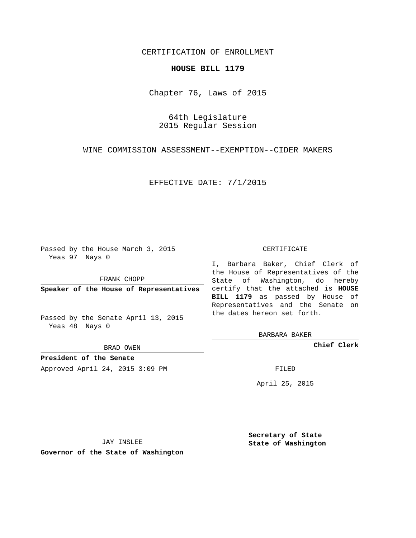# CERTIFICATION OF ENROLLMENT

### **HOUSE BILL 1179**

Chapter 76, Laws of 2015

64th Legislature 2015 Regular Session

WINE COMMISSION ASSESSMENT--EXEMPTION--CIDER MAKERS

EFFECTIVE DATE: 7/1/2015

Passed by the House March 3, 2015 Yeas 97 Nays 0

FRANK CHOPP

Passed by the Senate April 13, 2015 Yeas 48 Nays 0

BRAD OWEN

**President of the Senate**

Approved April 24, 2015 3:09 PM FILED

#### CERTIFICATE

**Speaker of the House of Representatives** certify that the attached is **HOUSE** I, Barbara Baker, Chief Clerk of the House of Representatives of the State of Washington, do hereby **BILL 1179** as passed by House of Representatives and the Senate on the dates hereon set forth.

BARBARA BAKER

**Chief Clerk**

April 25, 2015

JAY INSLEE

**Governor of the State of Washington**

**Secretary of State State of Washington**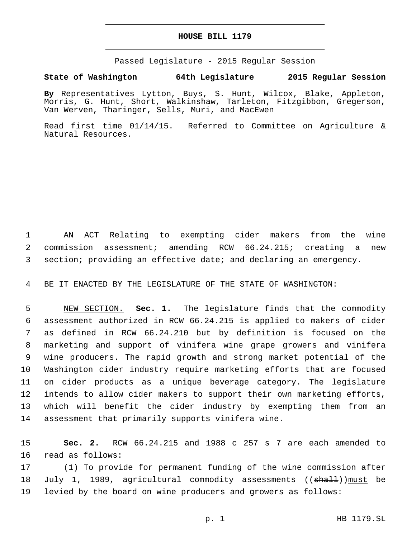### **HOUSE BILL 1179**

Passed Legislature - 2015 Regular Session

# **State of Washington 64th Legislature 2015 Regular Session**

**By** Representatives Lytton, Buys, S. Hunt, Wilcox, Blake, Appleton, Morris, G. Hunt, Short, Walkinshaw, Tarleton, Fitzgibbon, Gregerson, Van Werven, Tharinger, Sells, Muri, and MacEwen

Read first time 01/14/15. Referred to Committee on Agriculture & Natural Resources.

 AN ACT Relating to exempting cider makers from the wine commission assessment; amending RCW 66.24.215; creating a new section; providing an effective date; and declaring an emergency.

BE IT ENACTED BY THE LEGISLATURE OF THE STATE OF WASHINGTON:

 NEW SECTION. **Sec. 1.** The legislature finds that the commodity assessment authorized in RCW 66.24.215 is applied to makers of cider as defined in RCW 66.24.210 but by definition is focused on the marketing and support of vinifera wine grape growers and vinifera wine producers. The rapid growth and strong market potential of the Washington cider industry require marketing efforts that are focused on cider products as a unique beverage category. The legislature intends to allow cider makers to support their own marketing efforts, which will benefit the cider industry by exempting them from an assessment that primarily supports vinifera wine.

 **Sec. 2.** RCW 66.24.215 and 1988 c 257 s 7 are each amended to 16 read as follows:

 (1) To provide for permanent funding of the wine commission after 18 July 1, 1989, agricultural commodity assessments ((<del>shall</del>)) must be levied by the board on wine producers and growers as follows: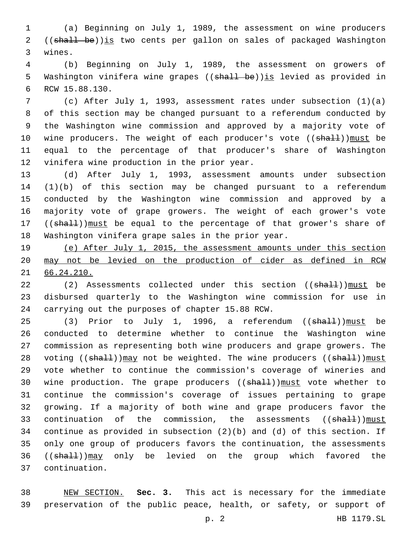1 (a) Beginning on July 1, 1989, the assessment on wine producers 2 ((shall be))is two cents per gallon on sales of packaged Washington 3 wines.

4 (b) Beginning on July 1, 1989, the assessment on growers of 5 Washington vinifera wine grapes ((shall be)) is levied as provided in 6 RCW 15.88.130.

 (c) After July 1, 1993, assessment rates under subsection (1)(a) of this section may be changed pursuant to a referendum conducted by the Washington wine commission and approved by a majority vote of 10 wine producers. The weight of each producer's vote ((shall)) must be equal to the percentage of that producer's share of Washington 12 vinifera wine production in the prior year.

 (d) After July 1, 1993, assessment amounts under subsection (1)(b) of this section may be changed pursuant to a referendum conducted by the Washington wine commission and approved by a majority vote of grape growers. The weight of each grower's vote 17 ((shall)) must be equal to the percentage of that grower's share of Washington vinifera grape sales in the prior year.

19 (e) After July 1, 2015, the assessment amounts under this section 20 may not be levied on the production of cider as defined in RCW 21 66.24.210.

22 (2) Assessments collected under this section ((shall))must be 23 disbursed quarterly to the Washington wine commission for use in 24 carrying out the purposes of chapter 15.88 RCW.

25 (3) Prior to July 1, 1996, a referendum ((shall))must be 26 conducted to determine whether to continue the Washington wine 27 commission as representing both wine producers and grape growers. The 28 voting ((shall))may not be weighted. The wine producers ((shall))must 29 vote whether to continue the commission's coverage of wineries and 30 wine production. The grape producers ((shall)) must vote whether to 31 continue the commission's coverage of issues pertaining to grape 32 growing. If a majority of both wine and grape producers favor the 33 continuation of the commission, the assessments ((shall))must 34 continue as provided in subsection (2)(b) and (d) of this section. If 35 only one group of producers favors the continuation, the assessments 36 ((shall))may only be levied on the group which favored the continuation.37

38 NEW SECTION. **Sec. 3.** This act is necessary for the immediate 39 preservation of the public peace, health, or safety, or support of

p. 2 HB 1179.SL